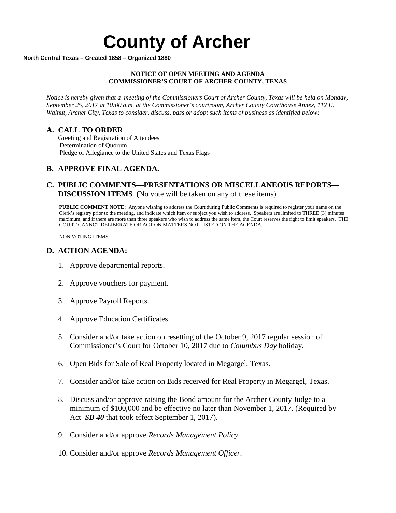#### **NOTICE OF OPEN MEETING AND AGENDA COMMISSIONER'S COURT OF ARCHER COUNTY, TEXAS**

*Notice is hereby given that a meeting of the Commissioners Court of Archer County, Texas will be held on Monday, September 25, 2017 at 10:00 a.m. at the Commissioner's courtroom, Archer County Courthouse Annex, 112 E. Walnut, Archer City, Texas to consider, discuss, pass or adopt such items of business as identified below:*

**A. CALL TO ORDER** Greeting and Registration of Attendees Determination of Quorum Pledge of Allegiance to the United States and Texas Flags

# **B. APPROVE FINAL AGENDA.**

# **C. PUBLIC COMMENTS—PRESENTATIONS OR MISCELLANEOUS REPORTS— DISCUSSION ITEMS** (No vote will be taken on any of these items)

**PUBLIC COMMENT NOTE:** Anyone wishing to address the Court during Public Comments is required to register your name on the Clerk's registry prior to the meeting, and indicate which item or subject you wish to address. Speakers are limited to THREE (3) minutes maximum, and if there are more than three speakers who wish to address the same item, the Court reserves the right to limit speakers. THE COURT CANNOT DELIBERATE OR ACT ON MATTERS NOT LISTED ON THE AGENDA.

NON VOTING ITEMS:

### **D. ACTION AGENDA:**

- 1. Approve departmental reports.
- 2. Approve vouchers for payment.
- 3. Approve Payroll Reports.
- 4. Approve Education Certificates.
- 5. Consider and/or take action on resetting of the October 9, 2017 regular session of Commissioner's Court for October 10, 2017 due to *Columbus Day* holiday.
- 6. Open Bids for Sale of Real Property located in Megargel, Texas.
- 7. Consider and/or take action on Bids received for Real Property in Megargel, Texas.
- 8. Discuss and/or approve raising the Bond amount for the Archer County Judge to a minimum of \$100,000 and be effective no later than November 1, 2017. (Required by Act *SB 40* that took effect September 1, 2017).
- 9. Consider and/or approve *Records Management Policy.*
- 10. Consider and/or approve *Records Management Officer.*